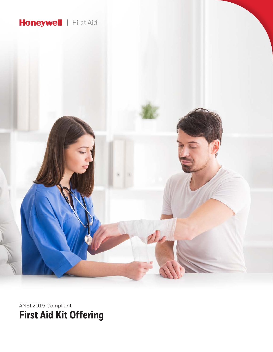# Honeywell | First Aid



ANSI 2015 Compliant **First Aid Kit Offering**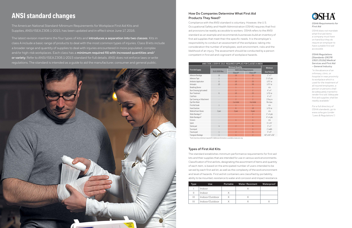#### *OSHA Requirements for First Aid*

*OSHA does not mandate what first aid items a company must have on hand but they do require an employer to have suitable first aid accessible.*

### *OSHA Regulations [Standards-29CFR 1910.151(b)] Medical Services and First Aid – General Industry*

*"In the absence of an infirmary, clinic, or hospital in near proximity to workplace which is used for the treatment of all injured employees, a person or persons shall be adequately trained to render first aid. Adequate first aid supplies shall be readily available."*

*For a full directory of OSHA standards, go to: www.osha.gov (under "Laws & Regulations").*

## **Types of First Aid Kits**

The standard establishes minimum performance requirements for first aid kits and their supplies that are intended for use in various work environments. Classification of first aid kits, designating the assortment of items and quantity of each item, is based on the anticipated number of users intended to be served by each first aid kit, as well as the complexity of the work environment and level of hazards. First aid kit containers are classified by portability, ability to be mounted, resistance to water and corrosion and impact resistance.

# **How Do Companies Determine What First Aid Products They Need?**

**Minimum Quantity Minimum** 40" x 40" x 56"



Compliance with the ANSI standard is voluntary. However, the U.S. Occupational Safety and Health Administration (OSHA) requires that first aid provisions be readily accessible to workers. OSHA refers to the ANSI standard as an example and recommends businesses build an inventory of first aid supplies that meet their the specific needs. It is the employer's responsibility to conduct an assessment of the workplace, taking into consideration the number of employees, work environment, risks and the likelihood of an injury. The assessment should be conducted by a person competent in first aid and cognizant of workplace hazards.

# **ANSI standard changes**

The American National Standard-Minimum Requirements for Workplace First Aid Kits and Supplies, ANSI/ISEA Z308.1-2015, has been updated and in effect since June 17, 2016.

The latest revision maintains the four types of kits and **introduces a separation into two classes**. Kits in class A include a basic range of products to deal with the most common types of injuries. Class B kits include a broader range and quantity of supplies to deal with injuries encountered in more populated, complex and/or high-risk workplaces. Each class has a **minimum required fill with increased quantities and/ or variety**. Refer to ANSI/ISEA Z308.1-2015 standard for full details. ANSI does not enforce laws or write regulations. The standard is intended as a guide to aid the manufacturer, consumer and general public.



| Type           | Use            | Portable | <b>Water-Resistant</b> | Waterproof |
|----------------|----------------|----------|------------------------|------------|
|                | Indoor         |          |                        |            |
|                | Indoor         |          |                        |            |
| $\mathbf{III}$ | Indoor/Outdoor |          |                        |            |
| IV             | Indoor/Outdoor |          |                        |            |

| ANSI Z308.1-2009 VS 2015: REQUIRED SUPPLIES FOR CLASSES A AND B |                      |                                          |                          |                   |  |  |  |  |  |
|-----------------------------------------------------------------|----------------------|------------------------------------------|--------------------------|-------------------|--|--|--|--|--|
|                                                                 |                      | <b>Minimum Quantity</b>                  |                          |                   |  |  |  |  |  |
| <b>First Aid Supply</b>                                         | <b>OLD 2009 Rev.</b> | <b>NEW 2015 Requirements</b><br>Class A* | Class B*                 | Size/Volume       |  |  |  |  |  |
| Adhesive Bandage                                                | 16                   | 16                                       | 50                       | $1" \times 3"$    |  |  |  |  |  |
| Adhesive Tape                                                   | 1                    | $\mathbf{1}$                             | $\overline{\phantom{a}}$ | $2 - 1/2$ yds     |  |  |  |  |  |
| Antibiotic Application                                          | $6\overline{6}$      | 10                                       | 25                       | $1/57$ oz         |  |  |  |  |  |
| Antiseptic                                                      | 10                   | 10                                       | 50                       | $1/57$ oz         |  |  |  |  |  |
| <b>Breathing Barrier</b>                                        |                      | $\mathbf{1}$                             | $\overline{1}$           | n/a               |  |  |  |  |  |
| Burn Dressing (gel soaked)                                      |                      | $\mathbf{1}$                             | $\overline{2}$           | $4" \times 4"$    |  |  |  |  |  |
| <b>Burn Treatment</b>                                           | 6                    | 10                                       | 25                       | $1/32$ oz         |  |  |  |  |  |
| Cold Pack                                                       |                      | $\mathbf{1}$                             | $\overline{\phantom{a}}$ | $4" \times 5"$    |  |  |  |  |  |
| Eye Covering, w/ Attachment                                     |                      | $\overline{\phantom{a}}$                 | $\overline{\phantom{a}}$ | $2.9$ sq. in      |  |  |  |  |  |
| Eye/Skin Wash                                                   |                      | 1 oz total                               | 4 oz total               | Per class         |  |  |  |  |  |
| First Aid Guide                                                 | 1                    | $\overline{1}$                           | $\mathbf{1}$             | n/a               |  |  |  |  |  |
| <b>Hand Sanitizer</b>                                           |                      | 6                                        | 10                       | 1/320z            |  |  |  |  |  |
| Medical Exam Gloves                                             | 2 pair               | 2 pair                                   | 4 pair                   | n/a               |  |  |  |  |  |
| Roller Bandage 2"                                               |                      |                                          | $\overline{\phantom{a}}$ | $2" \times 4$ yds |  |  |  |  |  |
| Roller Bandage 4"                                               |                      |                                          | $\overline{1}$           | $4" \times 4$ yds |  |  |  |  |  |
| <b>Scissors</b>                                                 |                      | $\mathbf{1}$                             | $\overline{1}$           | n/a               |  |  |  |  |  |
| Splint                                                          |                      |                                          | $\overline{1}$           | $4" \times 24"$   |  |  |  |  |  |
| Sterile pad                                                     | 4                    | $\overline{\phantom{a}}$                 | 4                        | $3" \times 3"$    |  |  |  |  |  |
| Tourniquet                                                      |                      |                                          | $\overline{1}$           | 1" width          |  |  |  |  |  |
| Trauma pad                                                      | 1                    | $\overline{\phantom{a}}$                 | 4                        | $5" \times 9"$    |  |  |  |  |  |
| Triangular Bandage                                              | 1                    | $\mathbf{1}$                             | $\overline{2}$           | 40" x 40" x 56    |  |  |  |  |  |

\*Each class has a minimum required fill. Additional information is available at www.ansi.org.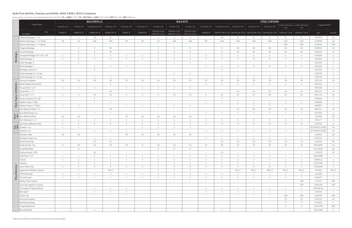|                 |                                     | <b>BULK REFILLS</b><br><b>BULK KITS</b><br><b>STEEL STATIONS</b> |                 |                          |                |                  |                          |                               |                               |                               |                  |                    |                          |                          |                                                                            |                                                            |                 |                   |                 |
|-----------------|-------------------------------------|------------------------------------------------------------------|-----------------|--------------------------|----------------|------------------|--------------------------|-------------------------------|-------------------------------|-------------------------------|------------------|--------------------|--------------------------|--------------------------|----------------------------------------------------------------------------|------------------------------------------------------------|-----------------|-------------------|-----------------|
|                 | Product Name                        | Essentials, CIA                                                  | 25 Users, CIA   | 1st Response, CIB        | 100 Users, CIB | Essentials, Cl B | Essentials, CIA          | 25 Users, CLA                 | 50 Users, CIA                 | 75 Users, CLA                 | Essentials, Cl B | 1st Response, CI B | 100 Users, CIB           | 150 Users, CIB           | 200 Users, CIB                                                             | 3-Shelf, 150 Users, 4-Shelf, 200 Users,<br>CI <sub>B</sub> | CLB             | Suggested Refill* |                 |
|                 | Item<br>Description                 | FAKREF-A                                                         | FAKREF25-A      | FAKREF1ST-B              | FAKREF100-B    | FAKREF-B         | FAKBASE-A                | FAK25PL-CLSA<br>FAK25STL-CLSA | FAK50PL-CLSA<br>FAK50STL-CLSA | FAK75PL-CLSA<br>FAK75STL-CLSA | FAKBASE-B        |                    |                          |                          | FRKSOFTPAK-CLSB FAK100CAB-CLSB FAK150CAB-CLSB FAK200CAB-CLSB FAK3SHLF-CLSB |                                                            | FAK4SHLF-CLSB   | Item              | Quantity        |
|                 | Adhesive Bandage, 2" x 4"           | $\sim$ $-$                                                       | 1               | 10                       | 6              | $\sim$           | $\sim$                   | 1                             | $\overline{2}$                | 3                             | $\sim$           | 10                 | 6                        | 6                        | 6                                                                          | 6                                                          | 6               | 032074            | 10              |
|                 | Adhesive Bandage, 1" x 3" Plastic   | 16                                                               | 32              | 100                      | 100            | 50               | 16                       | 32                            | 100                           | 100                           | 50               | 100                | 100                      | 100                      | 100                                                                        | 100                                                        | 100             | 010050            | 16              |
|                 | Adhesive Bandage 1" x 3" Woven      | $\overline{a}$                                                   | $\sim$          | $\sim$                   | $\sim$         | $\sim$           |                          | $\sim$                        | $\sim$                        | $\sim$                        | $\sim$           |                    | $\sim$                   | $\sim$                   | $\sim$                                                                     | 100                                                        | 100             | 010045            | 100             |
|                 | Fingertip Bandage                   | $\sim$                                                           | 3               | $\overline{4}$           | 40             | $\sim$           | $\sim$                   | 3                             | $\overline{4}$                | 8                             | $\sim$           |                    | 40                       | 40                       | 40                                                                         | 40                                                         | 40              | 020855            | 10 <sup>°</sup> |
|                 | Knuckle Bandage                     | $\sim$                                                           | $\overline{2}$  | - 6                      | 40             | $\sim$           | $\sim$                   | $\overline{\phantom{a}}$      | $\mathcal{E}$                 | 6                             | $\sim$           |                    | 40                       | 40                       | 40                                                                         | 40                                                         | 40              | 020020            | 8               |
|                 | Triangular Bandage, 40" x 40" x 56" | $\overline{1}$                                                   |                 | $\gamma$                 | 2              | $\mathcal{P}$    |                          | $\overline{1}$                |                               | $\overline{1}$                | $\overline{2}$   |                    | $\overline{\phantom{a}}$ | $\mathcal{P}$            | ୍ଦ                                                                         | $\mathcal{P}$                                              | 2               | 045009            |                 |
| <b>Bandages</b> | Roller Bandage, 2"                  | $\overline{1}$                                                   | $\overline{2}$  | $\overline{2}$           | $\overline{4}$ | $\overline{2}$   |                          | 2                             | $\mathcal{R}$                 | 4                             | 2                |                    | $\overline{4}$           | 6                        |                                                                            | $\overline{\mathcal{L}}$                                   | 4               | 051820            |                 |
|                 | Roller Bandage, 3"                  | $\overline{a}$                                                   |                 |                          | $-$            | $\sim$           | $\sim$                   | $\overline{1}$                | $\gamma$                      | $\overline{2}$                | $\sim$           |                    | $\sim$                   | $\sim$                   |                                                                            | $\sim$                                                     | $\sim$          | 051830            |                 |
|                 | Roller Bandage, 4"                  | $-$                                                              | $\sim$          |                          | $\overline{4}$ |                  |                          | $\sim$                        | $\sim$                        |                               | $\mathbf{1}$     |                    | $\overline{4}$           | 6                        | 8                                                                          | $\overline{4}$                                             | 4               | 051840            |                 |
|                 | Bandage Compress 2"                 | $-$                                                              | $\sim$          | $\overline{4}$           | $\sim$         |                  |                          | $\sim$                        |                               |                               | $\sim$           |                    | $\sim$                   | $\sim$                   |                                                                            | $\sim$                                                     | $\sim$          | 020766            | $\overline{4}$  |
|                 | Elastic Bandage 2" x 4.5 yds.       | $-$                                                              | $\sim$          |                          | $\sim$         | $\sim$           | $\overline{\phantom{a}}$ | $\sim$                        |                               | 1                             | $\sim$           |                    | $\sim$                   | $\overline{\phantom{a}}$ | $\sim$                                                                     | $\hspace{0.1mm}-\hspace{0.1mm}$                            | $\sim$          | 105020            |                 |
|                 | Elastic Bandage 3" x 4.5 yds.       | $\sim$                                                           | $\sim$          |                          | $\overline{1}$ | $\sim$           |                          | $\sim$                        | $\sim$                        | $\sim$                        | $\sim$           |                    |                          | 3                        | $\frac{4}{3}$                                                              |                                                            |                 | 105030            |                 |
|                 | Neomycin Antibiotic                 | 10                                                               | 10 <sup>°</sup> | 30                       | 30             | 25               | 10                       | 10                            | 10 <sup>°</sup>               | 10                            | 25               | 30                 | 30                       | 30                       | 30                                                                         | 30                                                         | $30\,$          | 020126            | 10 <sup>°</sup> |
|                 | Blood Stopper Trauma Pad            | $\sim$                                                           | $\sim$          | $\overline{\phantom{a}}$ | $\overline{4}$ | $\sim$           | $\overline{\phantom{a}}$ | $\sim$                        |                               | $\sim$                        | 4                |                    | $\overline{4}$           | 4                        |                                                                            | $\overline{4}$                                             | 4               | 061910            |                 |
|                 | Trauma Pad, 5" x 9"                 | 2                                                                | 2               | 4                        | $\sim$         | 4                | $\overline{\phantom{a}}$ | 2                             | $\overline{\phantom{a}}$      | 2                             | $\sim$           |                    | $\sim$                   | $\sim$                   |                                                                            | $\sim$                                                     | $\sim$          | 065590            |                 |
| Antibiotics     | Gauze Pad, 2" x 2"                  | $\sim$                                                           | $\sim$          |                          | 10             | $\sim$           |                          | $\sim$                        |                               | $\sim$                        | $\sim$           |                    | 10                       | 10 <sup>°</sup>          | 20                                                                         | 10                                                         | 10 <sup>°</sup> | 067422            | 10 <sup>°</sup> |
|                 | Gauze Pad, 3" x 3"                  | 2                                                                | $\overline{4}$  | 10                       | 25             | $\overline{4}$   | $\overline{2}$           | $\overline{4}$                | 10 <sup>°</sup>               | 10                            | $\overline{4}$   | 10                 | 25                       | 25                       | 50                                                                         | 25                                                         | 25              | 067533            | 25              |
| Pads, Tapes,    | Gauze Compress 18" x 36"            | $\sim$                                                           | $\sim$          |                          | $\sim$         | $\sim$           |                          | $\sim$                        |                               | $\sim$                        | $\sim$           |                    | $\sim$                   | $\sim$                   |                                                                            | $\sim$                                                     | $\sim$          | 020640            | 2               |
|                 | Adhesive Tape 1" Wide               | $\sim$                                                           | $\sim$          |                          | 2              | $\sim$           |                          | $\sim$                        | $\sim$                        | $\sim$                        | $\mathbf{1}$     |                    | $\overline{2}$           | 2                        | $\overline{\phantom{a}}$                                                   | 2                                                          | 2               | 048006            |                 |
|                 | Adhesive Tape 1/2" Wide             | $\perp$                                                          | 2               | $\overline{\phantom{a}}$ | $\sim$         |                  |                          | 2                             | $\overline{2}$                | 3                             | $\sim$           |                    | $\sim$                   | $\overline{1}$           | $\overline{2}$                                                             | $\sim$                                                     | $\sim$          | 048007            |                 |
|                 | Non Adherent Pads 2" x 3"           | $-$                                                              | $\sim$          | $\overline{\phantom{a}}$ | 10             | $\sim$           |                          | $\sim$                        | $\sim$                        | $\sim$                        | $\sim$           | $\sim$             | 10                       | 20                       | 20                                                                         | 10                                                         | 10 <sup>°</sup> | 063721            | 10 <sup>°</sup> |
|                 | Burn Relief Pump 2 oz               | $\sim$                                                           | $\sim$          |                          | $\mathbf{1}$   | $\sim$           | $\overline{a}$           | $\sim$                        | $\sim$                        | $\sim$                        | 1                |                    | $\overline{1}$           | 2                        | $\overline{\phantom{a}}$                                                   | $\mathbf{1}$                                               | $\perp$         | 032204            |                 |
|                 | Burn Relief Foil Pack               | 10                                                               | 10 <sup>°</sup> | $\overline{\phantom{a}}$ | $\sim$         | 25               | 10                       | 10                            | 10 <sup>°</sup>               | 10 <sup>°</sup>               | $\sim$           |                    | $\sim$                   | $\sim$                   | $\sim$                                                                     | $\sim$                                                     | $\sim$          | 151020            | 20              |
|                 | Burn Dressing 4" x 4"               | -1                                                               |                 | $\overline{2}$           | 2              | 2                |                          | $\mathbf{1}$                  |                               | $\overline{1}$                | 2                |                    | $\overline{2}$           | 2                        | $\mathcal{E}$                                                              | 2                                                          | 2               | 720177            |                 |
|                 | Eye Pads w/Adhesive Strips          | $\overline{4}$                                                   | 4               | 8                        | 8              | 4                |                          | $\overline{4}$                |                               | 4                             | 4                |                    | 8                        | 8                        | 12                                                                         | 8                                                          | 8               | 020300            |                 |
| Eye<br>care     | Eyewash, 1 oz.                      | $\overline{1}$                                                   |                 | $\overline{\phantom{a}}$ | $\sim$         | $\sim$           |                          | $\mathbf{1}$                  |                               | 2                             | $\sim$           |                    | $\sim$                   | $\sim$                   | $\sim$                                                                     | $\sim$                                                     | $\sim$          | 32-000451-0000    | 24              |
|                 | Eyewash, 4 oz                       | $\overline{a}$                                                   | $\sim$          |                          | $\mathbf{1}$   |                  | $\sim$                   | $\sim$                        | $\sim$                        | $\sim$                        | $\mathbf{1}$     |                    | $\overline{1}$           | $\overline{1}$           | $\overline{\phantom{a}}$                                                   | $\mathbf{1}$                                               | $\perp$         | 32-000452-0000    | 24              |
|                 | Antiseptic Wipe                     | 10                                                               | 10 <sup>°</sup> | $\sim$                   | $\sim$         | 50               | 10                       | 10 <sup>°</sup>               | 10                            | $10\,$                        |                  |                    | $\sim$                   | $\sim$                   | $\sim$                                                                     | $\sim$                                                     | $\sim$          | 150910            | 20              |
|                 | Antiseptic Pump 2 oz                | $\sim$                                                           | $\sim$          | - 1                      | 1              | $\sim$           | $\overline{\phantom{a}}$ | $\sim$                        | $\sim$                        | $\sim$                        | 1                |                    | -1                       | 2                        | $\overline{2}$                                                             | <sup>1</sup>                                               | $\perp$         | 032203            |                 |
|                 | Alcohol Prep Pads                   | $\sim$                                                           | $\sim$          | 10                       | 10             | $\sim$           | $\overline{\phantom{a}}$ | $\sim$                        | $-$                           | $\sim$                        | $\sim$           | 10                 | 10                       | 10 <sup>°</sup>          | 20                                                                         | 10                                                         | 10 <sup>°</sup> | 154818            | 50              |
|                 | Hand Sanitizer, .9 g                | -6                                                               | 10 <sup>°</sup> | $10$                     | 10             | 10 <sup>°</sup>  |                          | 10 <sup>°</sup>               | 10 <sup>°</sup>               | 15                            | 10 <sup>°</sup>  | 10                 | 10                       | 20                       | 30                                                                         | 10                                                         | 10              | 5501800           | 25              |
|                 | Sting Relief Wipe                   | $\sim$                                                           |                 | $\sim$                   | $\sim$         | $\sim$           | $\sim$                   | -6                            |                               | -6                            | $-$              | $\sim$             | $\sim$                   | $\sim$                   | $\sim$                                                                     | $\sim$                                                     | $\sim$          | 021202ST          | 10 <sup>°</sup> |
|                 | Hydrocortisone, 1.0%                | $\sim$                                                           | $\sim$          | 10                       | $\sim$         | $\sim$           | $-$                      | $\sim$                        | $\sim$                        | $\sim$                        | $\sim$           | 10                 | $\sim$                   | $\sim$                   | $\sim$                                                                     | $\sim$                                                     | $\sim$          | 233020            | 20              |
|                 | Cold Pack 5" x 6"                   | $\perp$                                                          | $\mathbf{1}$    | 2                        | $\overline{2}$ | 2                | $\overline{1}$           | $\mathbf{1}$                  |                               | 2                             | $\mathbf{2}$     | $\overline{2}$     | 2                        | 3                        | 4                                                                          | 2                                                          | $\overline{2}$  | 80185MK           |                 |
|                 | Scissors                            | $\perp$                                                          | $\mathbf{1}$    | $\overline{1}$           | $\perp$        | $\perp$          | 1                        | $\mathbf{1}$                  |                               | $\mathbf{1}$                  | $\mathbf{1}$     |                    | 1                        | $\perp$                  | $\perp$                                                                    | 1                                                          | $\perp$         | 32BS412           |                 |
|                 | Tweezers                            | $\sim$                                                           | $\mathbf{1}$    | $\perp$                  | $\mathbf{1}$   | $\sim$           | $\sim$                   | $\perp$                       |                               | $\mathbf{1}$                  | $\perp$          | 1                  | <sup>1</sup>             | $\mathbf{1}$             | $\perp$                                                                    | $\mathbf{1}$                                               | $\perp$         | 031570K           |                 |
|                 | Exam Gloves, Pair                   | $\overline{\phantom{a}}$                                         | $2\overline{ }$ | 4                        | 4              | 4                | 2                        | 2                             | $\overline{4}$                | $6\,$                         | $\overline{4}$   |                    | $\overline{4}$           | $6\phantom{.0}$          | 8                                                                          | $\overline{4}$                                             | 4               | 522000N           | 2               |
| Miscellaneous   | Aypanal Pain Reliever 2/pouch       | $\sim$                                                           | 3               | $\sim$                   | $50 \times 2$  | $\sim$           | $\sim$                   | 3 <sup>3</sup>                | 3 <sup>1</sup>                | $\mathcal{S}$                 | $\sim$           | $\sim$             | $50 \times 2$            | 50x2                     | $100 \times 2$                                                             | $50 \times 2$                                              | $50 \times 2$   | 161581            | $50 \times 2$   |
|                 | <b>CPR Filtershield</b>             | $\perp$                                                          | $\mathbf{1}$    | $\overline{1}$           | $\perp$        | <sup>1</sup>     | $\overline{1}$           | $\mathbf{1}$                  |                               | $\mathbf{1}$                  | $\mathbf{1}$     |                    | -1                       | $\perp$                  | $\overline{1}$                                                             | $\mathbf{1}$                                               | $\perp$         | 121090            |                 |
|                 | First Aid Guide                     | $\perp$                                                          | $\mathbf{1}$    | $\overline{1}$           | $\perp$        | $\perp$          | $\overline{1}$           | $\perp$                       |                               | $\mathbf{1}$                  | $\mathbf{1}$     | $\overline{1}$     | <sup>1</sup>             | $\perp$                  | $\overline{1}$                                                             | $\mathbf{1}$                                               | $\perp$         | 045027            | $\overline{1}$  |
|                 | Miralac Tabs 2/pouch                | $\sim$                                                           | $\sim$          | $\sim$                   | $\sim$         | $\sim$           | $\sim$                   | $\sim$                        | $\sim$                        | $\sim$                        | $\sim$           | $\sim$             | $\sim$                   | $\sim$                   | $\sim$                                                                     | $\sim$                                                     | 100             | 171545            | 100             |
|                 | Sinus Decongestant 2/pouch          | $\sim$                                                           | $\sim$          | $\sim$                   | $\sim$         | $\sim$           | $\sim$                   | $\sim$                        | $\sim$                        | $\sim$                        | $\sim$           | $\sim$             | $\sim$                   | $\sim$                   | $\sim$                                                                     | $\sim$                                                     | 100             | 2106100           | 100             |
|                 | Tourniquet w/ Tag and Pencil        | $\sim$                                                           | $\sim$          | $\overline{1}$           | $\mathbf{1}$   |                  | $\sim$                   | $\sim$                        | $\sim$                        | $\sim$                        | $\perp$          | $\overline{1}$     | $\mathbf{1}$             | $\mathbf{1}$             | <sup>1</sup>                                                               | $\mathbf{1}$                                               | $\mathbf{1}$    | 020350-X1         | <sup>1</sup>    |
|                 | Wire Splint                         | $\sim$                                                           | $\sim$          | $\overline{1}$           | $\mathbf{1}$   |                  | $\sim$                   | $\sim$                        | $\sim$                        | $\sim$                        | $\perp$          |                    | $\mathbf{1}$             | $\perp$                  | <sup>1</sup>                                                               | $\mathbf{1}$                                               | $\mathbf{1}$    | 020380            | <sup>1</sup>    |
|                 | Cotton Tips                         | $\sim$                                                           | $\sim$          | $\sim$                   | $\sim$         | $\sim$           | $\sim$                   | $\sim$                        | $\sim$                        | $\sim$                        | $\sim$           | $\sim$             | $\sim$                   | $\sim$                   | $\sim$                                                                     | 100                                                        | 100             | 12803VI           | 100             |
|                 | Ammonia Inhalants                   | $\sim$                                                           | $\sim$          | $\sim$                   | $\sim$         | $\sim$           | $-$                      | $\sim$                        | $\sim$                        | $\sim$                        | $\sim$           | $\sim$             | $\sim$                   | $\sim$                   | $\sim$                                                                     | $10\,$                                                     | 10              | 020225            | 10              |
|                 | Red Biohazard bag                   | $\sim$                                                           | $\sim$          | $\sim$                   | $\sim$         | $\sim$           | $-$                      | $\sim$                        | $\sim$                        | $\sim$                        | $\sim$           | $\sim$             | $\sim$                   | $\sim$                   | $\sim$                                                                     | $\overline{2}$                                             | $\overline{2}$  | 021602            | 2               |
|                 | Tongue Depressors                   | $\sim$                                                           | $\sim$          | $\sim$                   | $\sim$         | $\sim$           | $-$                      | $\sim$                        | $\sim$                        | $\sim$                        | $\sim$           | $-$                | $\sim$                   | $\sim$                   | $\sim$                                                                     | 6                                                          | 6               | 40705TM           | 500             |
|                 | Rescue Blanket                      | $-$                                                              | $\sim$          |                          | $\sim$         | $\sim$           | $\overline{\phantom{a}}$ | $\sim$                        | $\sim$                        | $\sim$                        | $\sim$           |                    | $\sim$                   | $\sim$                   | $\sim$                                                                     | $\sim$                                                     | $\sim$          | 80264RB           |                 |

# **Bulk First Aid Kits, Stations and Refills ANSI Z308.1-2015 Compliant**

Item numbers include kit case material abbreviation: PLASTIC: **PL** or **BASE**, STEEL: **STL**, **CAB**, **SHLF** or **CNST**, SOFT CASE: **SOFT**, NO CASE: **REF**-Refill only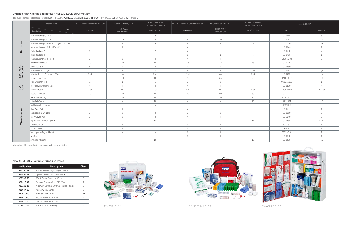|                             | Product Name                                     | ANSI 2015 Essentials Unitized Refill Cls A | 25 Users Unitized Kit, Cls A | 25 Users Construction,<br>Cls A and OSHA 1926.50 | $\vert$ ANSI 2015 Essentials Unitized Refill Cls B $\vert$ | 50 Users Unitized Kit, Cls B | 50 Users Construction,<br>Cls B and OSHA 1926.50 | Suggested Refill* |                  |
|-----------------------------|--------------------------------------------------|--------------------------------------------|------------------------------|--------------------------------------------------|------------------------------------------------------------|------------------------------|--------------------------------------------------|-------------------|------------------|
|                             | Item<br>Description                              | FAKREFU-A                                  | FAK25PLU-A<br>FAK25STLU-A    | FAK25CNSTU-A                                     | FAKREFU-B                                                  | FAK50PLU-B<br>FAK50STLU-B    | FAK50CNSTU-B                                     | Item              | Quantity         |
| <b>Bandages</b>             | Adhesive Bandage, 2" x 4"                        | $\sim$                                     | $\sim$                       | 6                                                |                                                            | $\sim$ $-$                   | 6                                                | 020915            | $6 \overline{6}$ |
|                             | Adhesive Bandage, 1" x 3"                        | 16                                         | 16                           | $\overline{\phantom{a}}$                         | 50                                                         | 50                           | 50                                               | 020795            | 16               |
|                             | Adhesive Bandage Mixed Strip, Fingertip, Knuckle | $\sim$                                     | $\sim$                       | 34                                               | $\sim$                                                     | $\sim$                       | 34                                               | 021000            | 34               |
|                             | Triangular Bandage, 40" x 40" x 56"              | $\overline{1}$                             | 1                            | $\overline{1}$                                   | 2                                                          | $\overline{\phantom{a}}$     | $\mathcal{P}$                                    | 020374            |                  |
|                             | Roller Bandage, 2"                               | $\overline{\phantom{a}}$                   | $\overline{\phantom{a}}$     | $\overline{2}$                                   | $\gamma$                                                   | $\gamma$                     | $\sim$                                           | 020630            | $\bigcap$        |
|                             | Roller Bandage, 4"                               | $\sim$                                     | $\sim$                       | $\sim$                                           |                                                            |                              |                                                  | 020768            |                  |
|                             | Bandage Compress 24" x 72"                       | $\overline{\phantom{a}}$                   | $\mathcal{P}$                | $\overline{4}$                                   |                                                            |                              | $\Delta$                                         | 020510-X2         | $\gamma$         |
|                             | Neomycin Antibiotic                              | 10                                         | $10 \,$                      | 10                                               | 25                                                         | 25                           | 25                                               | 020126            | 10               |
|                             | Gauze Pad, 3" x 3"                               | $\Delta$                                   | 4                            | $\overline{4}$                                   | $\overline{4}$                                             | $\perp$                      | 4                                                | 020430            | $\overline{4}$   |
| Pads, Tapes,<br>Antibiotics | Adhesive Tape 1" x 5 yds                         | $\sim$                                     | $\sim$                       | $\sim$                                           | $\sim$ $-$                                                 | $\sim$                       | 5 yd                                             | 020615            | 5 yd             |
|                             | Adhesive Tape 1/2" x 2.5 yds, 2/bx               | 5 yd                                       | 5 yd                         | 5 yd                                             | 5 yd                                                       | 5 yd                         | 5 yd                                             | 020445            | 5 yd             |
|                             | First Aid Burn Cream                             | 10                                         | 10 <sup>°</sup>              | 10                                               | 25                                                         | 25                           | 25                                               | 021020-10         | 10               |
|                             | Burn Dressing 4" x 4"                            |                                            |                              |                                                  | 2                                                          | $\gamma$                     | $\sim$                                           | 021031BSD         |                  |
| Eye<br>care                 | Eye Pads with Adhesive Strips                    | $\Lambda$                                  | $\overline{4}$               | $\overline{4}$                                   | $\perp$                                                    | $\sqrt{1}$                   | $\overline{4}$                                   | 020300            | $\perp$          |
|                             | Eyewash Bottle                                   | 1 <sub>0Z</sub>                            | 1 <sub>oz</sub>              | 1 <sub>oz</sub>                                  | 40z                                                        | 40z                          | 40z                                              | 020699-X2         | $2 \times 1$ oz  |
|                             | Alcohol Prep Pads                                | 10                                         | 10                           | 10                                               | 50                                                         | 50                           | 50                                               | 021047            | 10               |
|                             | Hand Sanitizer, .9 g                             | 10                                         | 10 <sup>°</sup>              | 10                                               | 10                                                         | 10                           | 10                                               | 020010-10         | 10               |
|                             | Sting Relief Wipe                                | $\sim$                                     | $\sim$                       | $10\,$                                           | $\sim$ $-$                                                 | $\sim$                       | $10\,$                                           | 02120ST           | $10$             |
|                             | IvyX Poison Ivy Cleanser                         | $\sim$                                     | $\sim$                       | 5                                                | $\sim$ $-$                                                 | $\sim$                       | $5^{\circ}$                                      | 021206X           | $\overline{5}$   |
|                             | Cold Pack 5" x 6"                                | $\overline{1}$                             | $\overline{1}$               |                                                  | 2                                                          | $\gamma$                     | $\mathcal{P}$                                    | 020667            |                  |
| Miscellaneous               | 1 Scissors & 1 Tweezers                          | $\overline{\phantom{a}}$                   | $\mathfrak{D}$               | $\overline{2}$                                   | $\gamma$                                                   | $\overline{\phantom{a}}$     | $\mathcal{P}$                                    | 020550            | $\overline{z}$   |
|                             | Exam Gloves, Pair                                | $\overline{2}$                             | $\overline{z}$               | $\overline{2}$                                   |                                                            | $\sqrt{1}$                   | $\Delta$                                         | 021640            | $\gamma$         |
|                             | Aypanal Pain Reliever 2/pouch                    | $\sim$                                     | $\sim$                       | $13 \times 2$                                    |                                                            | $\sim$                       | $13 \times 2$                                    | 020555            | $13 \times 2$    |
|                             | CPR Filtershield                                 |                                            |                              |                                                  |                                                            |                              |                                                  | 121051            |                  |
|                             | First Aid Guide                                  |                                            |                              |                                                  |                                                            |                              |                                                  | 045027            |                  |
|                             | Tourniquet w/ Tag and Pencil                     | $\sim$                                     | $\sim$                       | $\sim$                                           |                                                            |                              |                                                  | 020350-X1         |                  |
|                             | Wire Splint                                      | $\sim$                                     | $\sim$                       | $\sim$                                           |                                                            |                              |                                                  | 020380            |                  |
|                             | Ammonia Inhalants                                | $\sim$                                     | $\sim$                       | 10                                               | $\sim$ $-$                                                 | $\sim$                       | 10                                               | 020225            | 10               |

# **Unitized First Aid Kits and Refills ANSI Z308.1-2015 Compliant**

| <b>Item Number</b> | <b>Description</b>                          | Class   |
|--------------------|---------------------------------------------|---------|
| 020350-X1          | Tourniquet Assembly w/ Tag and Pencil       | B       |
| 020699-X2          | Evewash Bottles 1 oz, Unitized 2/bx         | А       |
| 020795-50          | 1" x 3" Plastic Bandages, 50/bx             | B       |
| 020510-X2          | Bandage Compress 24" x 72", 2/bx            | А       |
| 020126-25          | Neomycin Ointment 0.9 gram Foil Pack, 25/bx | B       |
| 021047-50          | Alcohol Wipes, 50/bx                        | B       |
| 020010-10          | Hand Sanitizer 10/bx                        | $A + B$ |
| 021020-10          | First Aid Burn Cream 10/bx                  | Α       |
| 021020-25          | First Aid Burn Cream 25/bx                  | B       |
| 021031BSD          | 4" x 4" Burn Stop Dressing                  | А       |





## **New ANSI 2015 Compliant Unitized Items**

\*Alternative refill items with different counts and sizes are available.

Item numbers include kit case material abbreviation: PLASTIC: **PL** or **BASE**, STEEL: **STL**, **CAB**, **SHLF** or **CNST**, SOFT CASE: **SOFT**, NO CASE: **REF**-Refill only

FAK75PL-CLSA FRKSOFTPAK-CLSB FAK4SHLF-CLSB